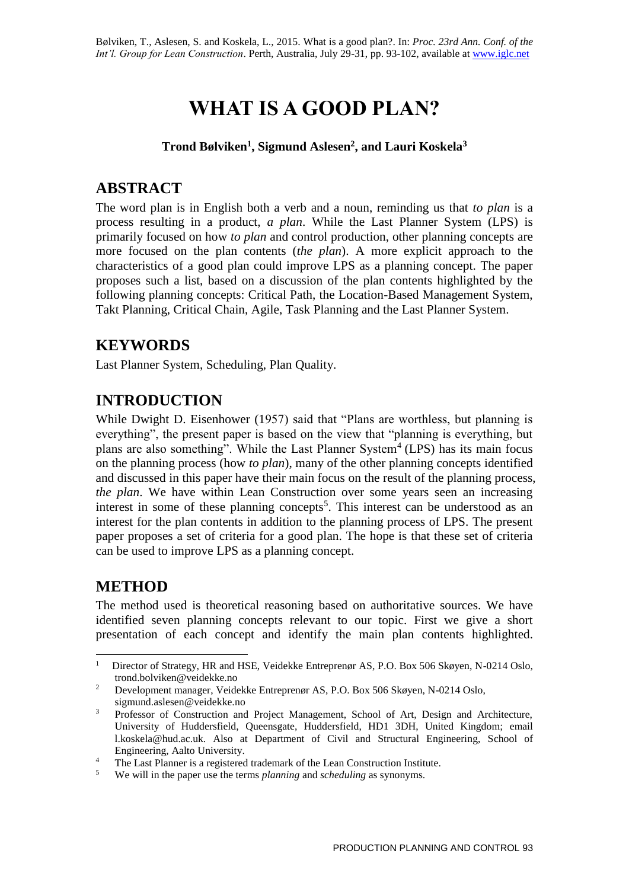# **WHAT IS A GOOD PLAN?**

## **Trond Bølviken<sup>1</sup> , Sigmund Aslesen<sup>2</sup> , and Lauri Koskela<sup>3</sup>**

# **ABSTRACT**

The word plan is in English both a verb and a noun, reminding us that *to plan* is a process resulting in a product, *a plan*. While the Last Planner System (LPS) is primarily focused on how *to plan* and control production, other planning concepts are more focused on the plan contents (*the plan*). A more explicit approach to the characteristics of a good plan could improve LPS as a planning concept. The paper proposes such a list, based on a discussion of the plan contents highlighted by the following planning concepts: Critical Path, the Location-Based Management System, Takt Planning, Critical Chain, Agile, Task Planning and the Last Planner System.

# **KEYWORDS**

Last Planner System, Scheduling, Plan Quality.

# **INTRODUCTION**

While Dwight D. Eisenhower (1957) said that "Plans are worthless, but planning is everything", the present paper is based on the view that "planning is everything, but plans are also something". While the Last Planner System<sup>4</sup> (LPS) has its main focus on the planning process (how *to plan*), many of the other planning concepts identified and discussed in this paper have their main focus on the result of the planning process, *the plan*. We have within Lean Construction over some years seen an increasing interest in some of these planning concepts<sup>5</sup>. This interest can be understood as an interest for the plan contents in addition to the planning process of LPS. The present paper proposes a set of criteria for a good plan. The hope is that these set of criteria can be used to improve LPS as a planning concept.

# **METHOD**

The method used is theoretical reasoning based on authoritative sources. We have identified seven planning concepts relevant to our topic. First we give a short presentation of each concept and identify the main plan contents highlighted.

<sup>-</sup><sup>1</sup> Director of Strategy, HR and HSE, Veidekke Entreprenør AS, P.O. Box 506 Skøyen, N-0214 Oslo, trond.bolviken@veidekke.no

<sup>&</sup>lt;sup>2</sup> Development manager, Veidekke Entreprenør AS, P.O. Box 506 Skøyen, N-0214 Oslo, sigmund.aslesen@veidekke.no

<sup>&</sup>lt;sup>3</sup> Professor of Construction and Project Management, School of Art, Design and Architecture, University of Huddersfield, Queensgate, Huddersfield, HD1 3DH, United Kingdom; email l.koskela@hud.ac.uk. Also at Department of Civil and Structural Engineering, School of Engineering, Aalto University.

<sup>&</sup>lt;sup>4</sup> The Last Planner is a registered trademark of the Lean Construction Institute.<br><sup>5</sup> We will in the paper use the terms *planning* and *scheduling* as synonyms

<sup>5</sup> We will in the paper use the terms *planning* and *scheduling* as synonyms.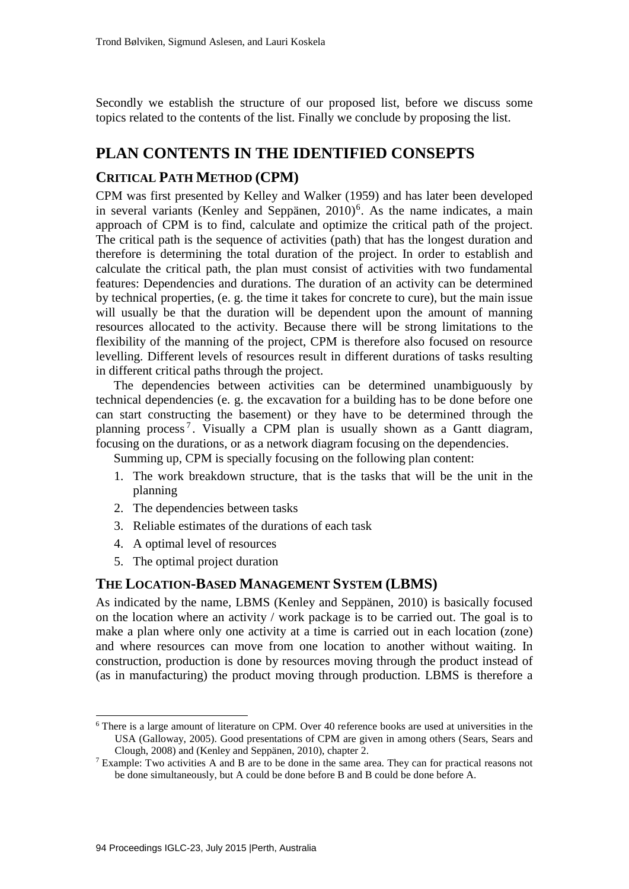Secondly we establish the structure of our proposed list, before we discuss some topics related to the contents of the list. Finally we conclude by proposing the list.

### **PLAN CONTENTS IN THE IDENTIFIED CONSEPTS**

#### **CRITICAL PATH METHOD (CPM)**

CPM was first presented by Kelley and Walker (1959) and has later been developed in several variants (Kenley and Seppänen, 2010)<sup>6</sup>. As the name indicates, a main approach of CPM is to find, calculate and optimize the critical path of the project. The critical path is the sequence of activities (path) that has the longest duration and therefore is determining the total duration of the project. In order to establish and calculate the critical path, the plan must consist of activities with two fundamental features: Dependencies and durations. The duration of an activity can be determined by technical properties, (e. g. the time it takes for concrete to cure), but the main issue will usually be that the duration will be dependent upon the amount of manning resources allocated to the activity. Because there will be strong limitations to the flexibility of the manning of the project, CPM is therefore also focused on resource levelling. Different levels of resources result in different durations of tasks resulting in different critical paths through the project.

The dependencies between activities can be determined unambiguously by technical dependencies (e. g. the excavation for a building has to be done before one can start constructing the basement) or they have to be determined through the planning process<sup>7</sup>. Visually a CPM plan is usually shown as a Gantt diagram, focusing on the durations, or as a network diagram focusing on the dependencies.

Summing up, CPM is specially focusing on the following plan content:

- 1. The work breakdown structure, that is the tasks that will be the unit in the planning
- 2. The dependencies between tasks
- 3. Reliable estimates of the durations of each task
- 4. A optimal level of resources
- 5. The optimal project duration

-

#### **THE LOCATION-BASED MANAGEMENT SYSTEM (LBMS)**

As indicated by the name, LBMS (Kenley and Seppänen, 2010) is basically focused on the location where an activity / work package is to be carried out. The goal is to make a plan where only one activity at a time is carried out in each location (zone) and where resources can move from one location to another without waiting. In construction, production is done by resources moving through the product instead of (as in manufacturing) the product moving through production. LBMS is therefore a

<sup>6</sup> There is a large amount of literature on CPM. Over 40 reference books are used at universities in the USA (Galloway, 2005). Good presentations of CPM are given in among others (Sears, Sears and Clough, 2008) and (Kenley and Seppänen, 2010), chapter 2.

<sup>7</sup> Example: Two activities A and B are to be done in the same area. They can for practical reasons not be done simultaneously, but A could be done before B and B could be done before A.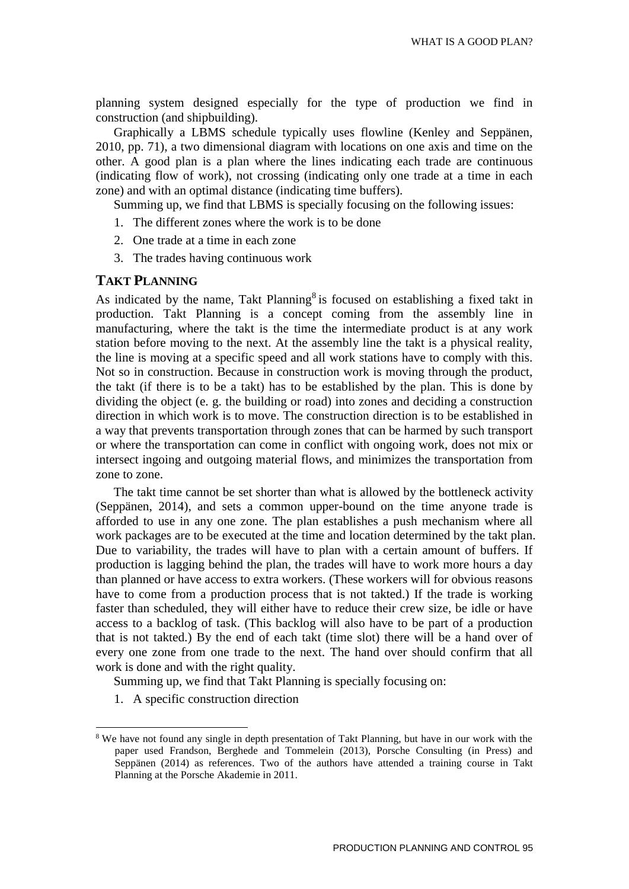planning system designed especially for the type of production we find in construction (and shipbuilding).

Graphically a LBMS schedule typically uses flowline (Kenley and Seppänen, 2010, pp. 71), a two dimensional diagram with locations on one axis and time on the other. A good plan is a plan where the lines indicating each trade are continuous (indicating flow of work), not crossing (indicating only one trade at a time in each zone) and with an optimal distance (indicating time buffers).

Summing up, we find that LBMS is specially focusing on the following issues:

- 1. The different zones where the work is to be done
- 2. One trade at a time in each zone
- 3. The trades having continuous work

#### **TAKT PLANNING**

As indicated by the name, Takt Planning<sup>8</sup> is focused on establishing a fixed takt in production. Takt Planning is a concept coming from the assembly line in manufacturing, where the takt is the time the intermediate product is at any work station before moving to the next. At the assembly line the takt is a physical reality, the line is moving at a specific speed and all work stations have to comply with this. Not so in construction. Because in construction work is moving through the product, the takt (if there is to be a takt) has to be established by the plan. This is done by dividing the object (e. g. the building or road) into zones and deciding a construction direction in which work is to move. The construction direction is to be established in a way that prevents transportation through zones that can be harmed by such transport or where the transportation can come in conflict with ongoing work, does not mix or intersect ingoing and outgoing material flows, and minimizes the transportation from zone to zone.

The takt time cannot be set shorter than what is allowed by the bottleneck activity (Seppänen, 2014), and sets a common upper-bound on the time anyone trade is afforded to use in any one zone. The plan establishes a push mechanism where all work packages are to be executed at the time and location determined by the takt plan. Due to variability, the trades will have to plan with a certain amount of buffers. If production is lagging behind the plan, the trades will have to work more hours a day than planned or have access to extra workers. (These workers will for obvious reasons have to come from a production process that is not takted.) If the trade is working faster than scheduled, they will either have to reduce their crew size, be idle or have access to a backlog of task. (This backlog will also have to be part of a production that is not takted.) By the end of each takt (time slot) there will be a hand over of every one zone from one trade to the next. The hand over should confirm that all work is done and with the right quality.

Summing up, we find that Takt Planning is specially focusing on:

1. A specific construction direction

1

<sup>&</sup>lt;sup>8</sup> We have not found any single in depth presentation of Takt Planning, but have in our work with the paper used Frandson, Berghede and Tommelein (2013), Porsche Consulting (in Press) and Seppänen (2014) as references. Two of the authors have attended a training course in Takt Planning at the Porsche Akademie in 2011.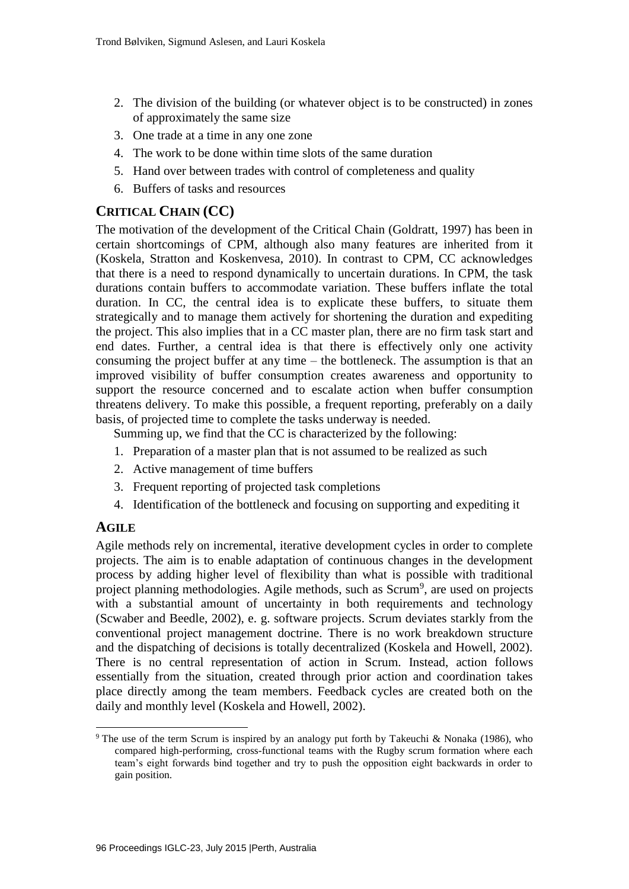- 2. The division of the building (or whatever object is to be constructed) in zones of approximately the same size
- 3. One trade at a time in any one zone
- 4. The work to be done within time slots of the same duration
- 5. Hand over between trades with control of completeness and quality
- 6. Buffers of tasks and resources

# **CRITICAL CHAIN (CC)**

The motivation of the development of the Critical Chain (Goldratt, 1997) has been in certain shortcomings of CPM, although also many features are inherited from it (Koskela, Stratton and Koskenvesa, 2010). In contrast to CPM, CC acknowledges that there is a need to respond dynamically to uncertain durations. In CPM, the task durations contain buffers to accommodate variation. These buffers inflate the total duration. In CC, the central idea is to explicate these buffers, to situate them strategically and to manage them actively for shortening the duration and expediting the project. This also implies that in a CC master plan, there are no firm task start and end dates. Further, a central idea is that there is effectively only one activity consuming the project buffer at any time – the bottleneck. The assumption is that an improved visibility of buffer consumption creates awareness and opportunity to support the resource concerned and to escalate action when buffer consumption threatens delivery. To make this possible, a frequent reporting, preferably on a daily basis, of projected time to complete the tasks underway is needed.

Summing up, we find that the CC is characterized by the following:

- 1. Preparation of a master plan that is not assumed to be realized as such
- 2. Active management of time buffers
- 3. Frequent reporting of projected task completions
- 4. Identification of the bottleneck and focusing on supporting and expediting it

## **AGILE**

1

Agile methods rely on incremental, iterative development cycles in order to complete projects. The aim is to enable adaptation of continuous changes in the development process by adding higher level of flexibility than what is possible with traditional project planning methodologies. Agile methods, such as Scrum<sup>9</sup>, are used on projects with a substantial amount of uncertainty in both requirements and technology (Scwaber and Beedle, 2002), e. g. software projects. Scrum deviates starkly from the conventional project management doctrine. There is no work breakdown structure and the dispatching of decisions is totally decentralized (Koskela and Howell, 2002). There is no central representation of action in Scrum. Instead, action follows essentially from the situation, created through prior action and coordination takes place directly among the team members. Feedback cycles are created both on the daily and monthly level (Koskela and Howell, 2002).

<sup>9</sup> The use of the term Scrum is inspired by an analogy put forth by Takeuchi & Nonaka (1986), who compared high-performing, cross-functional teams with the Rugby scrum formation where each team's eight forwards bind together and try to push the opposition eight backwards in order to gain position.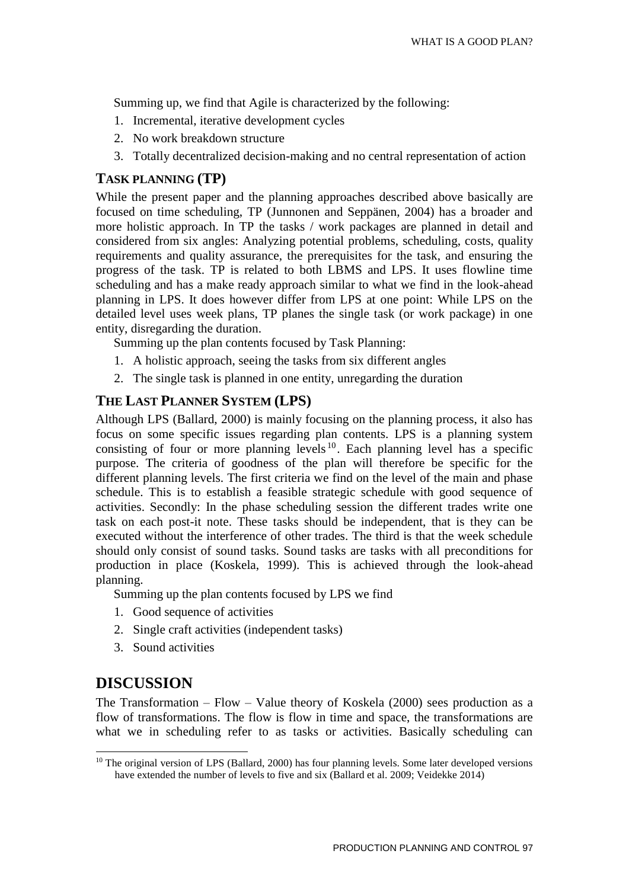Summing up, we find that Agile is characterized by the following:

- 1. Incremental, iterative development cycles
- 2. No work breakdown structure
- 3. Totally decentralized decision-making and no central representation of action

#### **TASK PLANNING (TP)**

While the present paper and the planning approaches described above basically are focused on time scheduling, TP (Junnonen and Seppänen, 2004) has a broader and more holistic approach. In TP the tasks / work packages are planned in detail and considered from six angles: Analyzing potential problems, scheduling, costs, quality requirements and quality assurance, the prerequisites for the task, and ensuring the progress of the task. TP is related to both LBMS and LPS. It uses flowline time scheduling and has a make ready approach similar to what we find in the look-ahead planning in LPS. It does however differ from LPS at one point: While LPS on the detailed level uses week plans, TP planes the single task (or work package) in one entity, disregarding the duration.

Summing up the plan contents focused by Task Planning:

- 1. A holistic approach, seeing the tasks from six different angles
- 2. The single task is planned in one entity, unregarding the duration

#### **THE LAST PLANNER SYSTEM (LPS)**

Although LPS (Ballard, 2000) is mainly focusing on the planning process, it also has focus on some specific issues regarding plan contents. LPS is a planning system consisting of four or more planning levels  $10$ . Each planning level has a specific purpose. The criteria of goodness of the plan will therefore be specific for the different planning levels. The first criteria we find on the level of the main and phase schedule. This is to establish a feasible strategic schedule with good sequence of activities. Secondly: In the phase scheduling session the different trades write one task on each post-it note. These tasks should be independent, that is they can be executed without the interference of other trades. The third is that the week schedule should only consist of sound tasks. Sound tasks are tasks with all preconditions for production in place (Koskela, 1999). This is achieved through the look-ahead planning.

Summing up the plan contents focused by LPS we find

- 1. Good sequence of activities
- 2. Single craft activities (independent tasks)
- 3. Sound activities

## **DISCUSSION**

-

The Transformation – Flow – Value theory of Koskela (2000) sees production as a flow of transformations. The flow is flow in time and space, the transformations are what we in scheduling refer to as tasks or activities. Basically scheduling can

 $10$  The original version of LPS (Ballard, 2000) has four planning levels. Some later developed versions have extended the number of levels to five and six (Ballard et al. 2009; Veidekke 2014)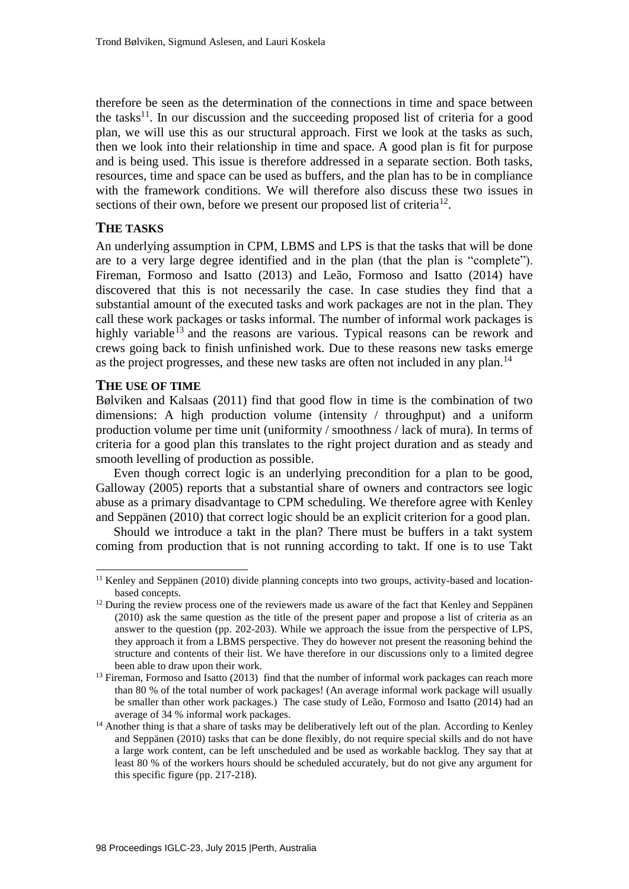therefore be seen as the determination of the connections in time and space between the tasks<sup>11</sup>. In our discussion and the succeeding proposed list of criteria for a good plan, we will use this as our structural approach. First we look at the tasks as such, then we look into their relationship in time and space. A good plan is fit for purpose and is being used. This issue is therefore addressed in a separate section. Both tasks, resources, time and space can be used as buffers, and the plan has to be in compliance with the framework conditions. We will therefore also discuss these two issues in sections of their own, before we present our proposed list of criteria<sup>12</sup>.

#### **THE TASKS**

An underlying assumption in CPM, LBMS and LPS is that the tasks that will be done are to a very large degree identified and in the plan (that the plan is "complete"). Fireman, Formoso and Isatto (2013) and Leão, Formoso and Isatto (2014) have discovered that this is not necessarily the case. In case studies they find that a substantial amount of the executed tasks and work packages are not in the plan. They call these work packages or tasks informal. The number of informal work packages is highly variable<sup>13</sup> and the reasons are various. Typical reasons can be rework and crews going back to finish unfinished work. Due to these reasons new tasks emerge as the project progresses, and these new tasks are often not included in any plan.<sup>14</sup>

#### **THE USE OF TIME**

-

Bølviken and Kalsaas (2011) find that good flow in time is the combination of two dimensions: A high production volume (intensity / throughput) and a uniform production volume per time unit (uniformity / smoothness / lack of mura). In terms of criteria for a good plan this translates to the right project duration and as steady and smooth levelling of production as possible.

Even though correct logic is an underlying precondition for a plan to be good, Galloway (2005) reports that a substantial share of owners and contractors see logic abuse as a primary disadvantage to CPM scheduling. We therefore agree with Kenley and Seppänen (2010) that correct logic should be an explicit criterion for a good plan.

Should we introduce a takt in the plan? There must be buffers in a takt system coming from production that is not running according to takt. If one is to use Takt

<sup>&</sup>lt;sup>11</sup> Kenley and Seppänen (2010) divide planning concepts into two groups, activity-based and locationbased concepts.

 $<sup>12</sup>$  During the review process one of the reviewers made us aware of the fact that Kenley and Seppänen</sup> (2010) ask the same question as the title of the present paper and propose a list of criteria as an answer to the question (pp. 202-203). While we approach the issue from the perspective of LPS, they approach it from a LBMS perspective. They do however not present the reasoning behind the structure and contents of their list. We have therefore in our discussions only to a limited degree been able to draw upon their work.

<sup>&</sup>lt;sup>13</sup> Fireman, Formoso and Isatto (2013) find that the number of informal work packages can reach more than 80 % of the total number of work packages! (An average informal work package will usually be smaller than other work packages.) The case study of Leão, Formoso and Isatto (2014) had an average of 34 % informal work packages.

<sup>&</sup>lt;sup>14</sup> Another thing is that a share of tasks may be deliberatively left out of the plan. According to Kenley and Seppänen (2010) tasks that can be done flexibly, do not require special skills and do not have a large work content, can be left unscheduled and be used as workable backlog. They say that at least 80 % of the workers hours should be scheduled accurately, but do not give any argument for this specific figure (pp. 217-218).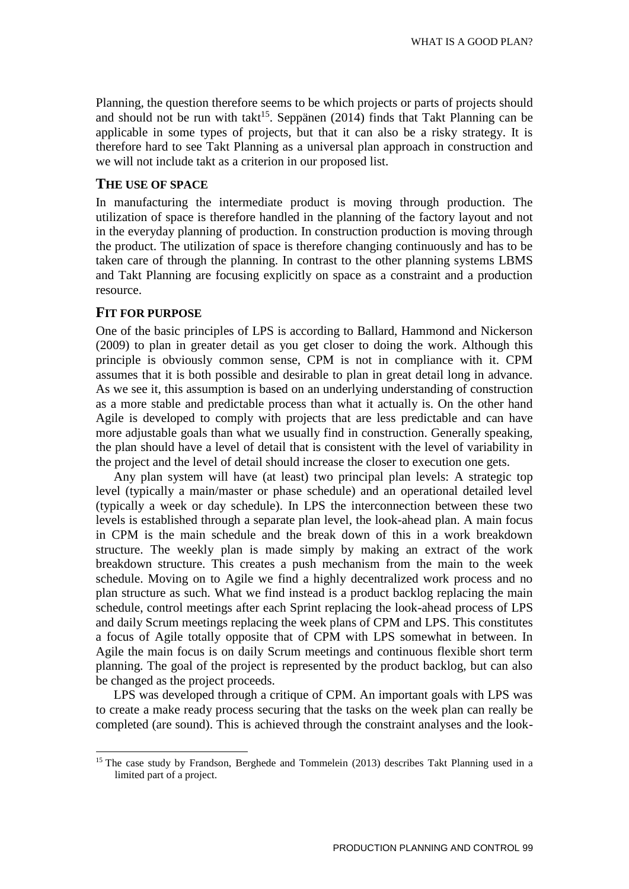Planning, the question therefore seems to be which projects or parts of projects should and should not be run with takt<sup>15</sup>. Seppänen (2014) finds that Takt Planning can be applicable in some types of projects, but that it can also be a risky strategy. It is therefore hard to see Takt Planning as a universal plan approach in construction and we will not include takt as a criterion in our proposed list.

#### **THE USE OF SPACE**

In manufacturing the intermediate product is moving through production. The utilization of space is therefore handled in the planning of the factory layout and not in the everyday planning of production. In construction production is moving through the product. The utilization of space is therefore changing continuously and has to be taken care of through the planning. In contrast to the other planning systems LBMS and Takt Planning are focusing explicitly on space as a constraint and a production resource.

#### **FIT FOR PURPOSE**

-

One of the basic principles of LPS is according to Ballard, Hammond and Nickerson (2009) to plan in greater detail as you get closer to doing the work. Although this principle is obviously common sense, CPM is not in compliance with it. CPM assumes that it is both possible and desirable to plan in great detail long in advance. As we see it, this assumption is based on an underlying understanding of construction as a more stable and predictable process than what it actually is. On the other hand Agile is developed to comply with projects that are less predictable and can have more adjustable goals than what we usually find in construction. Generally speaking, the plan should have a level of detail that is consistent with the level of variability in the project and the level of detail should increase the closer to execution one gets.

Any plan system will have (at least) two principal plan levels: A strategic top level (typically a main/master or phase schedule) and an operational detailed level (typically a week or day schedule). In LPS the interconnection between these two levels is established through a separate plan level, the look-ahead plan. A main focus in CPM is the main schedule and the break down of this in a work breakdown structure. The weekly plan is made simply by making an extract of the work breakdown structure. This creates a push mechanism from the main to the week schedule. Moving on to Agile we find a highly decentralized work process and no plan structure as such. What we find instead is a product backlog replacing the main schedule, control meetings after each Sprint replacing the look-ahead process of LPS and daily Scrum meetings replacing the week plans of CPM and LPS. This constitutes a focus of Agile totally opposite that of CPM with LPS somewhat in between. In Agile the main focus is on daily Scrum meetings and continuous flexible short term planning. The goal of the project is represented by the product backlog, but can also be changed as the project proceeds.

LPS was developed through a critique of CPM. An important goals with LPS was to create a make ready process securing that the tasks on the week plan can really be completed (are sound). This is achieved through the constraint analyses and the look-

<sup>&</sup>lt;sup>15</sup> The case study by Frandson, Berghede and Tommelein (2013) describes Takt Planning used in a limited part of a project.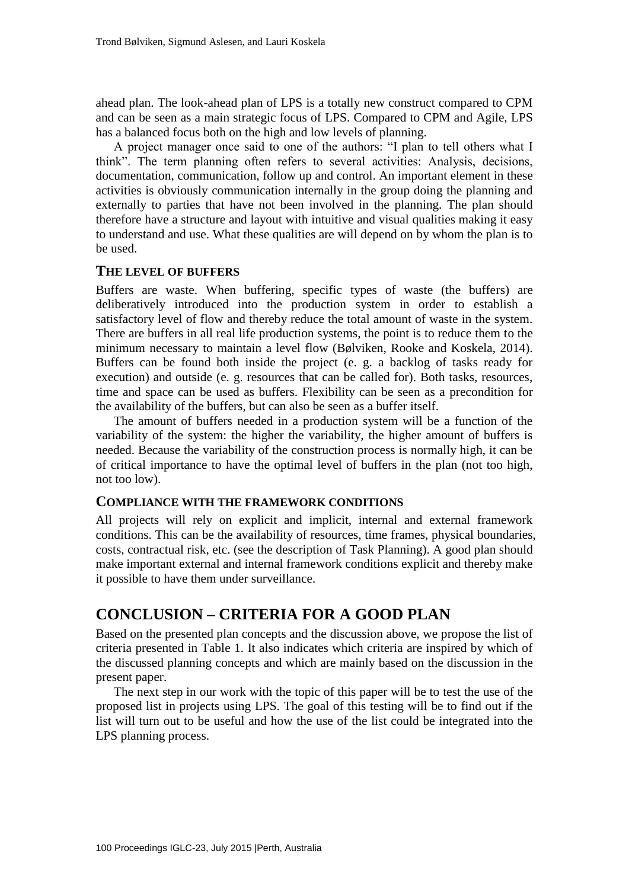ahead plan. The look-ahead plan of LPS is a totally new construct compared to CPM and can be seen as a main strategic focus of LPS. Compared to CPM and Agile, LPS has a balanced focus both on the high and low levels of planning.

A project manager once said to one of the authors: "I plan to tell others what I think". The term planning often refers to several activities: Analysis, decisions, documentation, communication, follow up and control. An important element in these activities is obviously communication internally in the group doing the planning and externally to parties that have not been involved in the planning. The plan should therefore have a structure and layout with intuitive and visual qualities making it easy to understand and use. What these qualities are will depend on by whom the plan is to be used.

#### **THE LEVEL OF BUFFERS**

Buffers are waste. When buffering, specific types of waste (the buffers) are deliberatively introduced into the production system in order to establish a satisfactory level of flow and thereby reduce the total amount of waste in the system. There are buffers in all real life production systems, the point is to reduce them to the minimum necessary to maintain a level flow (Bølviken, Rooke and Koskela, 2014). Buffers can be found both inside the project (e. g. a backlog of tasks ready for execution) and outside (e. g. resources that can be called for). Both tasks, resources, time and space can be used as buffers. Flexibility can be seen as a precondition for the availability of the buffers, but can also be seen as a buffer itself.

The amount of buffers needed in a production system will be a function of the variability of the system: the higher the variability, the higher amount of buffers is needed. Because the variability of the construction process is normally high, it can be of critical importance to have the optimal level of buffers in the plan (not too high, not too low).

#### **COMPLIANCE WITH THE FRAMEWORK CONDITIONS**

All projects will rely on explicit and implicit, internal and external framework conditions. This can be the availability of resources, time frames, physical boundaries, costs, contractual risk, etc. (see the description of Task Planning). A good plan should make important external and internal framework conditions explicit and thereby make it possible to have them under surveillance.

## **CONCLUSION – CRITERIA FOR A GOOD PLAN**

Based on the presented plan concepts and the discussion above, we propose the list of criteria presented in Table 1. It also indicates which criteria are inspired by which of the discussed planning concepts and which are mainly based on the discussion in the present paper.

The next step in our work with the topic of this paper will be to test the use of the proposed list in projects using LPS. The goal of this testing will be to find out if the list will turn out to be useful and how the use of the list could be integrated into the LPS planning process.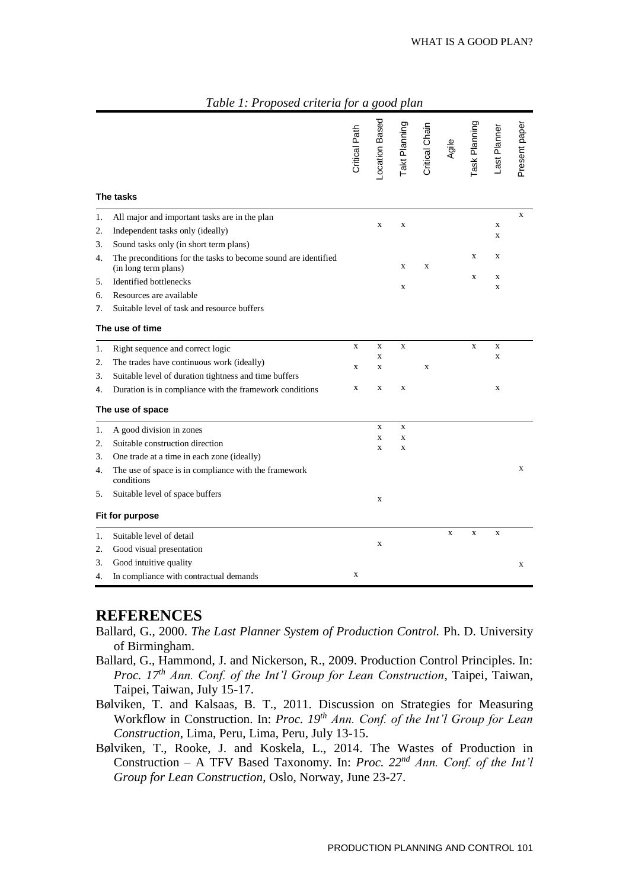|  | Table 1: Proposed criteria for a good plan |  |  |  |  |
|--|--------------------------------------------|--|--|--|--|
|--|--------------------------------------------|--|--|--|--|

|                  |                                                                                        | Critical Path | -ocation Based             | Takt Planning              | Critical Chain | Agile       | Task Planning | Last Planner               | Present paper |
|------------------|----------------------------------------------------------------------------------------|---------------|----------------------------|----------------------------|----------------|-------------|---------------|----------------------------|---------------|
| The tasks        |                                                                                        |               |                            |                            |                |             |               |                            |               |
| 1.               | All major and important tasks are in the plan                                          |               |                            |                            |                |             |               |                            | X             |
| 2.               | Independent tasks only (ideally)                                                       |               | X                          | $\mathbf X$                |                |             |               | $\mathbf X$<br>X           |               |
| 3.               | Sound tasks only (in short term plans)                                                 |               |                            |                            |                |             |               |                            |               |
| 4.               | The preconditions for the tasks to become sound are identified<br>(in long term plans) |               |                            | X                          | X              |             | X             | X                          |               |
| 5.               | Identified bottlenecks                                                                 |               |                            | $\mathbf X$                |                |             | X             | $\mathbf X$<br>$\mathbf x$ |               |
| 6.               | Resources are available                                                                |               |                            |                            |                |             |               |                            |               |
| 7.               | Suitable level of task and resource buffers                                            |               |                            |                            |                |             |               |                            |               |
|                  | The use of time                                                                        |               |                            |                            |                |             |               |                            |               |
| 1.               | Right sequence and correct logic                                                       | X             | $\mathbf X$                | $\mathbf X$                |                |             | X             | $\mathbf X$                |               |
| 2.               | The trades have continuous work (ideally)                                              | X             | $\mathbf X$<br>X           |                            | X              |             |               | $\mathbf X$                |               |
| 3.               | Suitable level of duration tightness and time buffers                                  |               |                            |                            |                |             |               |                            |               |
| 4.               | Duration is in compliance with the framework conditions                                | $\mathbf X$   | $\mathbf X$                | $\mathbf X$                |                |             |               | $\mathbf X$                |               |
| The use of space |                                                                                        |               |                            |                            |                |             |               |                            |               |
| 1.               | A good division in zones                                                               |               | $\mathbf X$                | $\mathbf X$                |                |             |               |                            |               |
| 2.               | Suitable construction direction                                                        |               | $\mathbf X$<br>$\mathbf x$ | $\mathbf X$<br>$\mathbf x$ |                |             |               |                            |               |
| 3.               | One trade at a time in each zone (ideally)                                             |               |                            |                            |                |             |               |                            |               |
| 4.               | The use of space is in compliance with the framework<br>conditions                     |               |                            |                            |                |             |               |                            | X             |
| 5.               | Suitable level of space buffers                                                        |               | $\mathbf X$                |                            |                |             |               |                            |               |
|                  | Fit for purpose                                                                        |               |                            |                            |                |             |               |                            |               |
| 1.               | Suitable level of detail                                                               |               |                            |                            |                | $\mathbf X$ | $\mathbf X$   | $\mathbf X$                |               |
| 2.               | Good visual presentation                                                               |               | $\mathbf X$                |                            |                |             |               |                            |               |
| 3.               | Good intuitive quality                                                                 |               |                            |                            |                |             |               |                            | $\mathbf X$   |
| 4.               | In compliance with contractual demands                                                 | $\mathbf X$   |                            |                            |                |             |               |                            |               |

#### **REFERENCES**

- Ballard, G., 2000. *The Last Planner System of Production Control.* Ph. D. University of Birmingham.
- Ballard, G., Hammond, J. and Nickerson, R., 2009. Production Control Principles. In: *Proc. 17th Ann. Conf. of the Int'l Group for Lean Construction*, Taipei, Taiwan, Taipei, Taiwan, July 15-17.
- Bølviken, T. and Kalsaas, B. T., 2011. Discussion on Strategies for Measuring Workflow in Construction. In: *Proc. 19th Ann. Conf. of the Int'l Group for Lean Construction*, Lima, Peru, Lima, Peru, July 13-15.
- Bølviken, T., Rooke, J. and Koskela, L., 2014. The Wastes of Production in Construction – A TFV Based Taxonomy. In: *Proc. 22nd Ann. Conf. of the Int'l Group for Lean Construction*, Oslo, Norway, June 23-27.